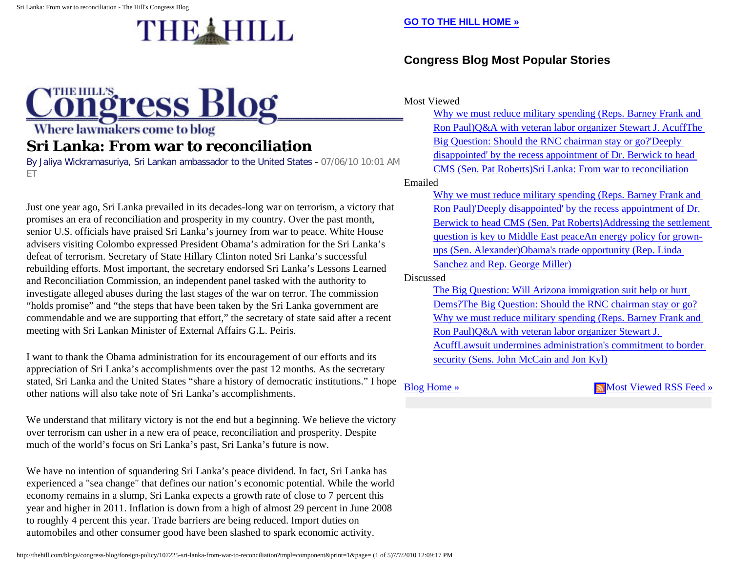## THE HILL

## **Congress Blog** Where lawmakers come to blog

## **Sri Lanka: From war to reconciliation**

By Jaliya Wickramasuriya, Sri Lankan ambassador to the United States - 07/06/10 10:01 AM ET

Just one year ago, Sri Lanka prevailed in its decades-long war on terrorism, a victory that promises an era of reconciliation and prosperity in my country. Over the past month, senior U.S. officials have praised Sri Lanka's journey from war to peace. White House advisers visiting Colombo expressed President Obama's admiration for the Sri Lanka's defeat of terrorism. Secretary of State Hillary Clinton noted Sri Lanka's successful rebuilding efforts. Most important, the secretary endorsed Sri Lanka's Lessons Learned and Reconciliation Commission, an independent panel tasked with the authority to investigate alleged abuses during the last stages of the war on terror. The commission "holds promise" and "the steps that have been taken by the Sri Lanka government are commendable and we are supporting that effort," the secretary of state said after a recent meeting with Sri Lankan Minister of External Affairs G.L. Peiris.

I want to thank the Obama administration for its encouragement of our efforts and its appreciation of Sri Lanka's accomplishments over the past 12 months. As the secretary stated, Sri Lanka and the United States "share a history of democratic institutions." I hope other nations will also take note of Sri Lanka's accomplishments.

We understand that military victory is not the end but a beginning. We believe the victory over terrorism can usher in a new era of peace, reconciliation and prosperity. Despite much of the world's focus on Sri Lanka's past, Sri Lanka's future is now.

We have no intention of squandering Sri Lanka's peace dividend. In fact, Sri Lanka has experienced a "sea change" that defines our nation's economic potential. While the world economy remains in a slump, Sri Lanka expects a growth rate of close to 7 percent this year and higher in 2011. Inflation is down from a high of almost 29 percent in June 2008 to roughly 4 percent this year. Trade barriers are being reduced. Import duties on automobiles and other consumer good have been slashed to spark economic activity.